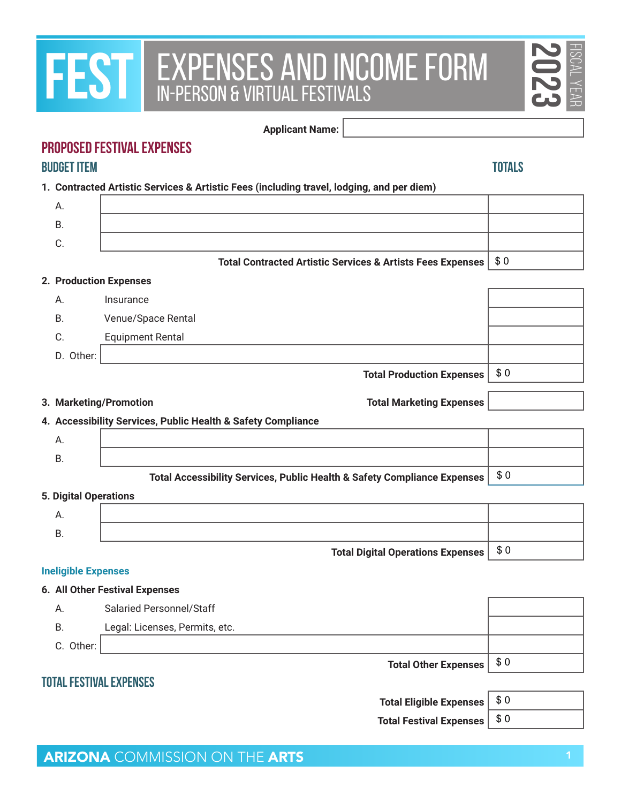# **FEST EXPENSES AND INCOME FORM**

#### **PROPOSED FESTIVAL EXPENSES Budget Item Totals**

| <b>FEST</b>                                                | EXPENSES AND INCOME FORM                                                                  |               | $\overline{223}$<br>YEAR |
|------------------------------------------------------------|-------------------------------------------------------------------------------------------|---------------|--------------------------|
|                                                            | <b>Applicant Name:</b>                                                                    |               |                          |
|                                                            | <b>PROPOSED FESTIVAL EXPENSES</b>                                                         |               |                          |
| <b>BUDGET ITEM</b>                                         |                                                                                           | <b>TOTALS</b> |                          |
|                                                            | 1. Contracted Artistic Services & Artistic Fees (including travel, lodging, and per diem) |               |                          |
| А.                                                         |                                                                                           |               |                          |
| <b>B.</b>                                                  |                                                                                           |               |                          |
| C.                                                         |                                                                                           |               |                          |
|                                                            | <b>Total Contracted Artistic Services &amp; Artists Fees Expenses</b>                     | \$0           |                          |
|                                                            | 2. Production Expenses                                                                    |               |                          |
| А.                                                         | Insurance                                                                                 |               |                          |
| <b>B.</b>                                                  | Venue/Space Rental                                                                        |               |                          |
| C.                                                         | <b>Equipment Rental</b>                                                                   |               |                          |
| D. Other:                                                  |                                                                                           |               |                          |
|                                                            |                                                                                           |               |                          |
|                                                            | <b>Total Production Expenses</b>                                                          | \$0           |                          |
|                                                            | 3. Marketing/Promotion<br><b>Total Marketing Expenses</b>                                 |               |                          |
|                                                            | 4. Accessibility Services, Public Health & Safety Compliance                              |               |                          |
| А.                                                         |                                                                                           |               |                          |
| <b>B.</b>                                                  |                                                                                           |               |                          |
|                                                            | Total Accessibility Services, Public Health & Safety Compliance Expenses                  | \$0           |                          |
|                                                            |                                                                                           |               |                          |
| А.                                                         |                                                                                           |               |                          |
| <b>B.</b>                                                  |                                                                                           |               |                          |
|                                                            | <b>Total Digital Operations Expenses</b>                                                  | \$0           |                          |
|                                                            |                                                                                           |               |                          |
|                                                            | 6. All Other Festival Expenses                                                            |               |                          |
| Α.                                                         | Salaried Personnel/Staff                                                                  |               |                          |
| <b>B.</b>                                                  | Legal: Licenses, Permits, etc.                                                            |               |                          |
| C. Other:                                                  |                                                                                           |               |                          |
|                                                            | <b>Total Other Expenses</b>                                                               | \$0           |                          |
|                                                            | TOTAL FESTIVAL EXPENSES                                                                   |               |                          |
| <b>5. Digital Operations</b><br><b>Ineligible Expenses</b> | <b>Total Eligible Expenses</b>                                                            | \$0           |                          |

| <b>Total Eligible Expens</b> |  |
|------------------------------|--|
|------------------------------|--|